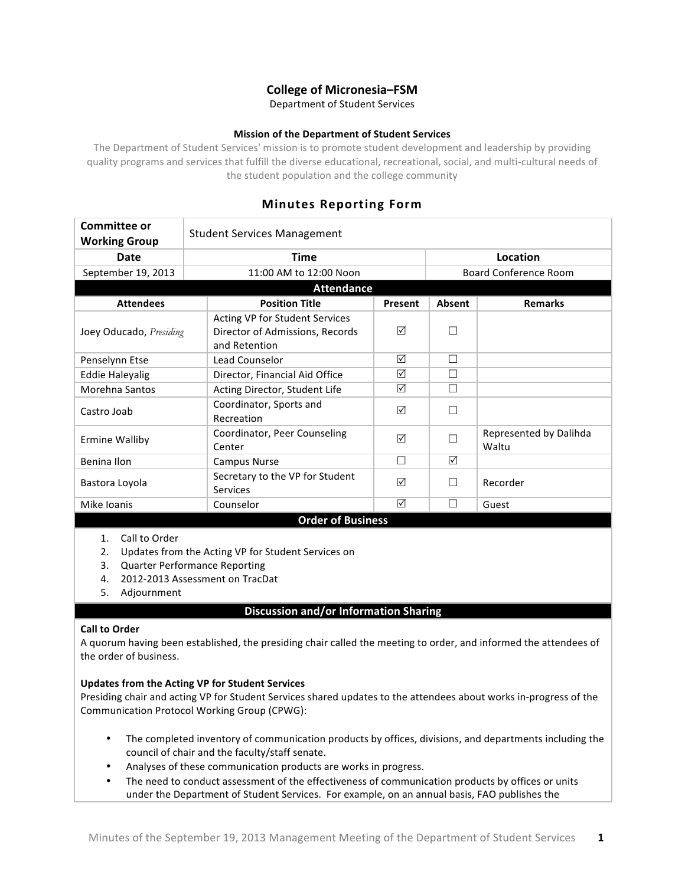# **College of Micronesia–FSM**

Department of Student Services

## **Mission of the Department of Student Services**

The Department of Student Services' mission is to promote student development and leadership by providing quality programs and services that fulfill the diverse educational, recreational, social, and multi-cultural needs of the student population and the college community

## **Minutes Reporting Form**

| <b>Committee or</b><br><b>Working Group</b> | <b>Student Services Management</b>                                                 |         |                              |                                 |  |  |
|---------------------------------------------|------------------------------------------------------------------------------------|---------|------------------------------|---------------------------------|--|--|
| Date                                        | <b>Time</b>                                                                        |         | Location                     |                                 |  |  |
| September 19, 2013                          | 11:00 AM to 12:00 Noon                                                             |         | <b>Board Conference Room</b> |                                 |  |  |
| <b>Attendance</b>                           |                                                                                    |         |                              |                                 |  |  |
| <b>Attendees</b>                            | <b>Position Title</b>                                                              | Present | <b>Absent</b>                | <b>Remarks</b>                  |  |  |
| Joey Oducado, Presiding                     | Acting VP for Student Services<br>Director of Admissions, Records<br>and Retention | ☑       |                              |                                 |  |  |
| Penselynn Etse                              | Lead Counselor                                                                     | ☑       | П                            |                                 |  |  |
| <b>Eddie Haleyalig</b>                      | Director, Financial Aid Office                                                     | ⊠       | П                            |                                 |  |  |
| Morehna Santos                              | Acting Director, Student Life                                                      | ☑       | П                            |                                 |  |  |
| Castro Joab                                 | Coordinator, Sports and<br>Recreation                                              | ☑       | П                            |                                 |  |  |
| <b>Ermine Walliby</b>                       | Coordinator, Peer Counseling<br>Center                                             | ☑       | П                            | Represented by Dalihda<br>Waltu |  |  |
| Benina Ilon                                 | <b>Campus Nurse</b>                                                                | П       | ☑                            |                                 |  |  |
| Bastora Loyola                              | Secretary to the VP for Student<br><b>Services</b>                                 | ⊠       | ΙI                           | Recorder                        |  |  |
| Mike Ioanis                                 | Counselor                                                                          | ⊠       |                              | Guest                           |  |  |
| <b>Order of Business</b>                    |                                                                                    |         |                              |                                 |  |  |
|                                             |                                                                                    |         |                              |                                 |  |  |

#### 1. Call to Order

- 2. Updates from the Acting VP for Student Services on
- 3. Quarter Performance Reporting
- 4. 2012-2013 Assessment on TracDat
- 5. Adjournment

## **Discussion and/or Information Sharing**

### **Call to Order**

A quorum having been established, the presiding chair called the meeting to order, and informed the attendees of the order of business.

#### **Updates from the Acting VP for Student Services**

Presiding chair and acting VP for Student Services shared updates to the attendees about works in-progress of the Communication Protocol Working Group (CPWG):

- The completed inventory of communication products by offices, divisions, and departments including the council of chair and the faculty/staff senate.
- Analyses of these communication products are works in progress.
- The need to conduct assessment of the effectiveness of communication products by offices or units under the Department of Student Services. For example, on an annual basis, FAO publishes the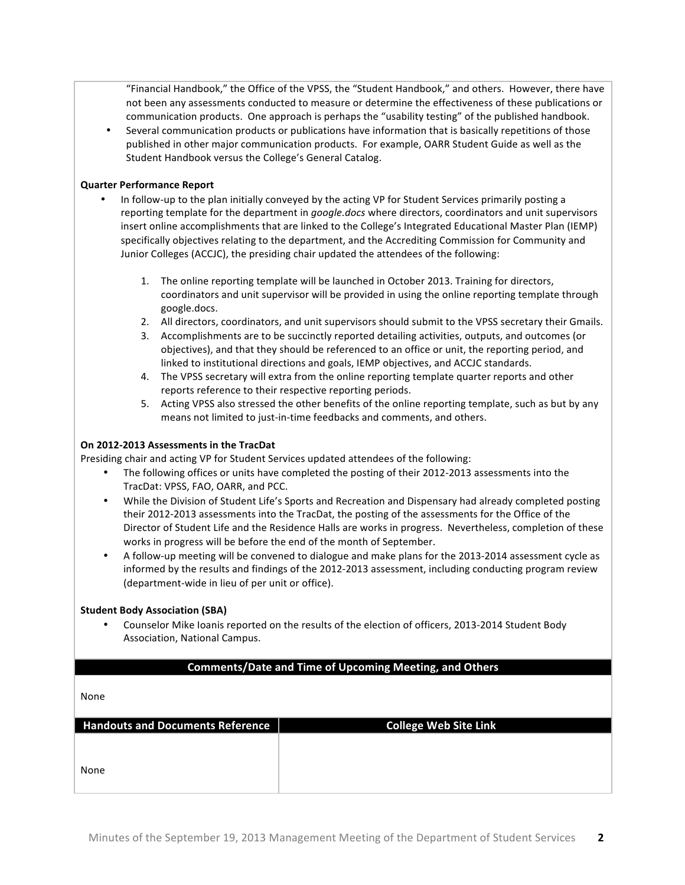"Financial Handbook," the Office of the VPSS, the "Student Handbook," and others. However, there have not been any assessments conducted to measure or determine the effectiveness of these publications or communication products. One approach is perhaps the "usability testing" of the published handbook.

Several communication products or publications have information that is basically repetitions of those published in other major communication products. For example, OARR Student Guide as well as the Student Handbook versus the College's General Catalog.

## **Quarter Performance Report**

- In follow-up to the plan initially conveyed by the acting VP for Student Services primarily posting a reporting template for the department in *google.docs* where directors, coordinators and unit supervisors insert online accomplishments that are linked to the College's Integrated Educational Master Plan (IEMP) specifically objectives relating to the department, and the Accrediting Commission for Community and Junior Colleges (ACCJC), the presiding chair updated the attendees of the following:
	- 1. The online reporting template will be launched in October 2013. Training for directors, coordinators and unit supervisor will be provided in using the online reporting template through google.docs.
	- 2. All directors, coordinators, and unit supervisors should submit to the VPSS secretary their Gmails.
	- 3. Accomplishments are to be succinctly reported detailing activities, outputs, and outcomes (or objectives), and that they should be referenced to an office or unit, the reporting period, and linked to institutional directions and goals, IEMP objectives, and ACCJC standards.
	- 4. The VPSS secretary will extra from the online reporting template quarter reports and other reports reference to their respective reporting periods.
	- 5. Acting VPSS also stressed the other benefits of the online reporting template, such as but by any means not limited to just-in-time feedbacks and comments, and others.

## **On 2012-2013 Assessments in the TracDat**

Presiding chair and acting VP for Student Services updated attendees of the following:

- The following offices or units have completed the posting of their 2012-2013 assessments into the TracDat: VPSS, FAO, OARR, and PCC.
- While the Division of Student Life's Sports and Recreation and Dispensary had already completed posting their 2012-2013 assessments into the TracDat, the posting of the assessments for the Office of the Director of Student Life and the Residence Halls are works in progress. Nevertheless, completion of these works in progress will be before the end of the month of September.
- A follow-up meeting will be convened to dialogue and make plans for the 2013-2014 assessment cycle as informed by the results and findings of the 2012-2013 assessment, including conducting program review (department-wide in lieu of per unit or office).

#### **Student Body Association (SBA)**

Counselor Mike Ioanis reported on the results of the election of officers, 2013-2014 Student Body Association, National Campus.

## **Comments/Date and Time of Upcoming Meeting, and Others**

None

| <b>Handouts and Documents Reference</b> | <b>College Web Site Link</b> |
|-----------------------------------------|------------------------------|
|                                         |                              |
|                                         |                              |
| None                                    |                              |
|                                         |                              |